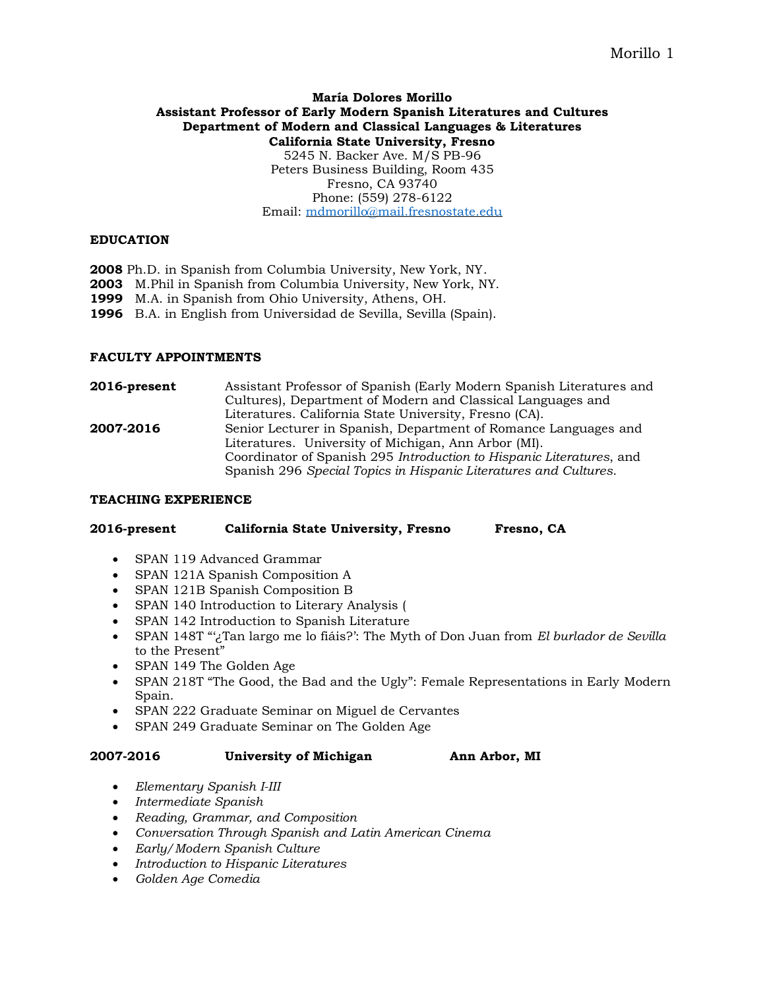# **María Dolores Morillo Assistant Professor of Early Modern Spanish Literatures and Cultures Department of Modern and Classical Languages & Literatures California State University, Fresno**

5245 N. Backer Ave. M/S PB-96 Peters Business Building, Room 435 Fresno, CA 93740 Phone: (559) 278-6122 Email: [mdmorillo@mail.fresnostate.edu](mailto:mdmorillo@mail.fresnostate.edu)

### **EDUCATION**

 Ph.D. in Spanish from Columbia University, New York, NY. M.Phil in Spanish from Columbia University, New York, NY. M.A. in Spanish from Ohio University, Athens, OH. B.A. in English from Universidad de Sevilla, Sevilla (Spain).

## **FACULTY APPOINTMENTS**

**2016-present** Assistant Professor of Spanish (Early Modern Spanish Literatures and Cultures), Department of Modern and Classical Languages and Literatures. California State University, Fresno (CA). **2007-2016** Senior Lecturer in Spanish, Department of Romance Languages and Literatures. University of Michigan, Ann Arbor (MI). Coordinator of Spanish 295 *Introduction to Hispanic Literatures*, and Spanish 296 *Special Topics in Hispanic Literatures and Cultures*.

#### **TEACHING EXPERIENCE**

#### **2016-present California State University, Fresno Fresno, CA**

- SPAN 119 Advanced Grammar
- SPAN 121A Spanish Composition A
- SPAN 121B Spanish Composition B
- SPAN 140 Introduction to Literary Analysis (
- SPAN 142 Introduction to Spanish Literature
- SPAN 148T "'¿Tan largo me lo fiáis?': The Myth of Don Juan from *El burlador de Sevilla* to the Present"
- SPAN 149 The Golden Age
- SPAN 218T "The Good, the Bad and the Ugly": Female Representations in Early Modern Spain.
- SPAN 222 Graduate Seminar on Miguel de Cervantes
- SPAN 249 Graduate Seminar on The Golden Age

#### **2007-2016 University of Michigan Ann Arbor, MI**

- *Elementary Spanish I-III*
- *Intermediate Spanish*
- *Reading, Grammar, and Composition*
- *Conversation Through Spanish and Latin American Cinema*
- *Early/Modern Spanish Culture*
- *Introduction to Hispanic Literatures*
- *Golden Age Comedia*